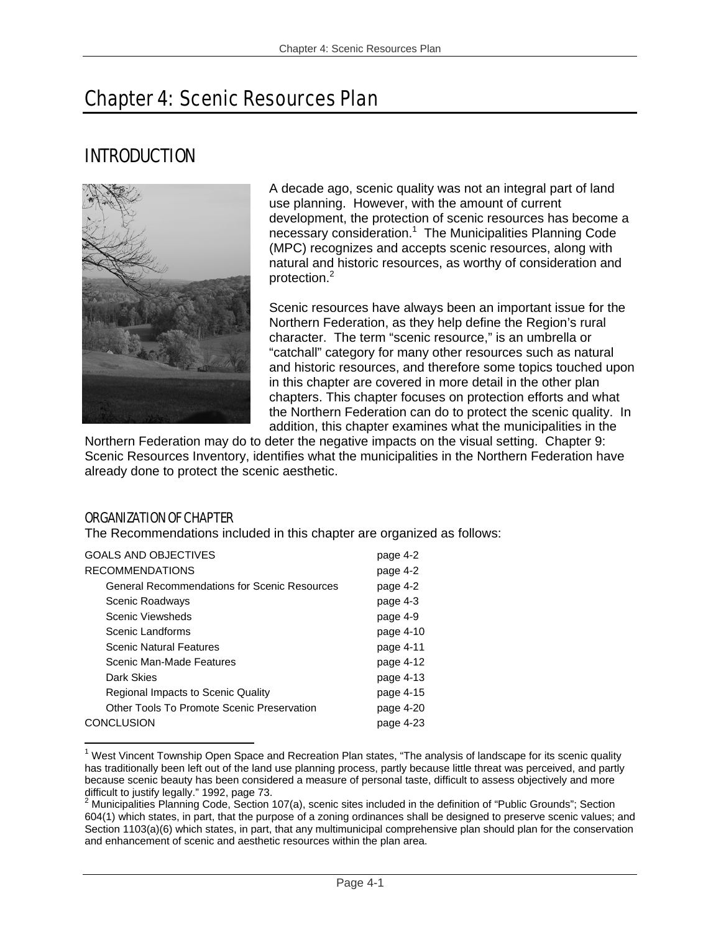# Chapter 4: Scenic Resources Plan

# INTRODUCTION



A decade ago, scenic quality was not an integral part of land use planning. However, with the amount of current development, the protection of scenic resources has become a necessary consideration.<sup>1</sup> The Municipalities Planning Code (MPC) recognizes and accepts scenic resources, along with natural and historic resources, as worthy of consideration and protection.<sup>2</sup>

Scenic resources have always been an important issue for the Northern Federation, as they help define the Region's rural character. The term "scenic resource," is an umbrella or "catchall" category for many other resources such as natural and historic resources, and therefore some topics touched upon in this chapter are covered in more detail in the other plan chapters. This chapter focuses on protection efforts and what the Northern Federation can do to protect the scenic quality. In addition, this chapter examines what the municipalities in the

Northern Federation may do to deter the negative impacts on the visual setting. Chapter 9: Scenic Resources Inventory, identifies what the municipalities in the Northern Federation have already done to protect the scenic aesthetic.

# ORGANIZATION OF CHAPTER

The Recommendations included in this chapter are organized as follows:

| <b>GOALS AND OBJECTIVES</b>                         | page 4-2  |
|-----------------------------------------------------|-----------|
| <b>RECOMMENDATIONS</b>                              | page 4-2  |
| <b>General Recommendations for Scenic Resources</b> | page 4-2  |
| Scenic Roadways                                     | page 4-3  |
| Scenic Viewsheds                                    | page 4-9  |
| Scenic Landforms                                    | page 4-10 |
| <b>Scenic Natural Features</b>                      | page 4-11 |
| Scenic Man-Made Features                            | page 4-12 |
| Dark Skies                                          | page 4-13 |
| Regional Impacts to Scenic Quality                  | page 4-15 |
| Other Tools To Promote Scenic Preservation          | page 4-20 |
| <b>CONCLUSION</b>                                   | page 4-23 |

<sup>1</sup> <sup>1</sup> West Vincent Township Open Space and Recreation Plan states, "The analysis of landscape for its scenic quality has traditionally been left out of the land use planning process, partly because little threat was perceived, and partly because scenic beauty has been considered a measure of personal taste, difficult to assess objectively and more difficult to justify legally." 1992, page 73.

 $2$  Municipalities Planning Code, Section 107(a), scenic sites included in the definition of "Public Grounds"; Section 604(1) which states, in part, that the purpose of a zoning ordinances shall be designed to preserve scenic values; and Section 1103(a)(6) which states, in part, that any multimunicipal comprehensive plan should plan for the conservation and enhancement of scenic and aesthetic resources within the plan area.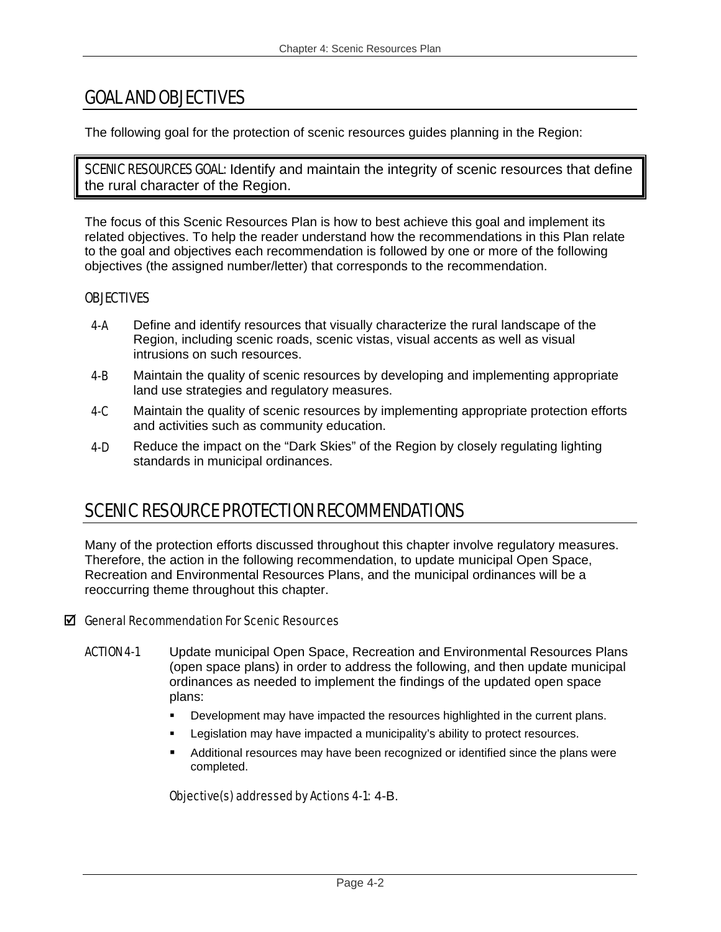# GOAL AND OBJECTIVES

The following goal for the protection of scenic resources guides planning in the Region:

**SCENIC RESOURCES GOAL:** Identify and maintain the integrity of scenic resources that define the rural character of the Region.

The focus of this Scenic Resources Plan is how to best achieve this goal and implement its related objectives. To help the reader understand how the recommendations in this Plan relate to the goal and objectives each recommendation is followed by one or more of the following objectives (the assigned number/letter) that corresponds to the recommendation.

# **OBJECTIVES**

- 4-A Define and identify resources that visually characterize the rural landscape of the Region, including scenic roads, scenic vistas, visual accents as well as visual intrusions on such resources.
- 4-B Maintain the quality of scenic resources by developing and implementing appropriate land use strategies and regulatory measures.
- 4-C Maintain the quality of scenic resources by implementing appropriate protection efforts and activities such as community education.
- 4-D Reduce the impact on the "Dark Skies" of the Region by closely regulating lighting standards in municipal ordinances.

# SCENIC RESOURCE PROTECTION RECOMMENDATIONS

Many of the protection efforts discussed throughout this chapter involve regulatory measures. Therefore, the action in the following recommendation, to update municipal Open Space, Recreation and Environmental Resources Plans, and the municipal ordinances will be a reoccurring theme throughout this chapter.

# $\boxtimes$  General Recommendation For Scenic Resources

- ACTION 4-1 Update municipal Open Space, Recreation and Environmental Resources Plans (open space plans) in order to address the following, and then update municipal ordinances as needed to implement the findings of the updated open space plans:
	- **•** Development may have impacted the resources highlighted in the current plans.
	- Legislation may have impacted a municipality's ability to protect resources.
	- Additional resources may have been recognized or identified since the plans were completed.

# Objective(s) addressed by Actions 4-1: 4-B.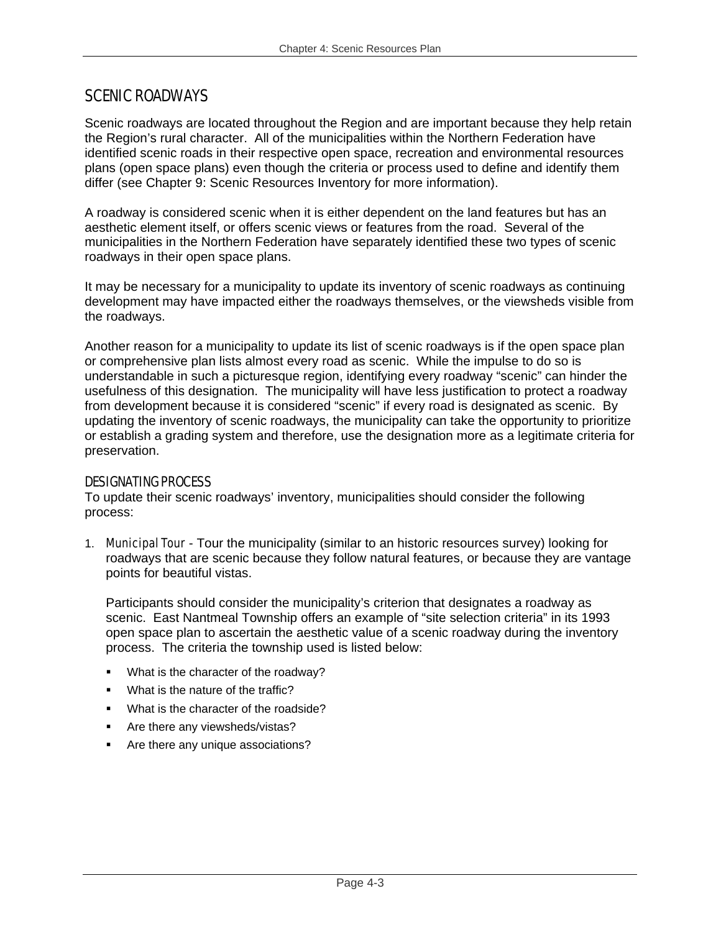# SCENIC ROADWAYS

Scenic roadways are located throughout the Region and are important because they help retain the Region's rural character. All of the municipalities within the Northern Federation have identified scenic roads in their respective open space, recreation and environmental resources plans (open space plans) even though the criteria or process used to define and identify them differ (see Chapter 9: Scenic Resources Inventory for more information).

A roadway is considered scenic when it is either dependent on the land features but has an aesthetic element itself, or offers scenic views or features from the road. Several of the municipalities in the Northern Federation have separately identified these two types of scenic roadways in their open space plans.

It may be necessary for a municipality to update its inventory of scenic roadways as continuing development may have impacted either the roadways themselves, or the viewsheds visible from the roadways.

Another reason for a municipality to update its list of scenic roadways is if the open space plan or comprehensive plan lists almost every road as scenic. While the impulse to do so is understandable in such a picturesque region, identifying every roadway "scenic" can hinder the usefulness of this designation. The municipality will have less justification to protect a roadway from development because it is considered "scenic" if every road is designated as scenic. By updating the inventory of scenic roadways, the municipality can take the opportunity to prioritize or establish a grading system and therefore, use the designation more as a legitimate criteria for preservation.

# DESIGNATING PROCESS

To update their scenic roadways' inventory, municipalities should consider the following process:

1. Municipal Tour - Tour the municipality (similar to an historic resources survey) looking for roadways that are scenic because they follow natural features, or because they are vantage points for beautiful vistas.

Participants should consider the municipality's criterion that designates a roadway as scenic. East Nantmeal Township offers an example of "site selection criteria" in its 1993 open space plan to ascertain the aesthetic value of a scenic roadway during the inventory process. The criteria the township used is listed below:

- **What is the character of the roadway?**
- **What is the nature of the traffic?**
- **What is the character of the roadside?**
- **Are there any viewsheds/vistas?**
- **Are there any unique associations?**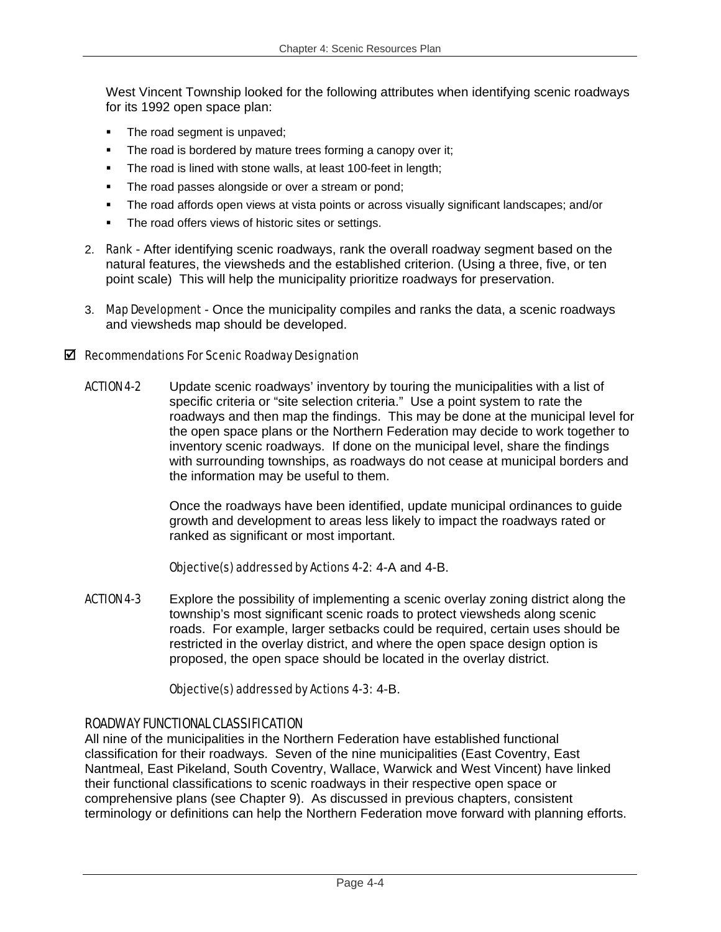West Vincent Township looked for the following attributes when identifying scenic roadways for its 1992 open space plan:

- The road segment is unpaved;
- The road is bordered by mature trees forming a canopy over it;
- **The road is lined with stone walls, at least 100-feet in length;**
- The road passes alongside or over a stream or pond;
- The road affords open views at vista points or across visually significant landscapes; and/or
- The road offers views of historic sites or settings.
- 2. Rank After identifying scenic roadways, rank the overall roadway segment based on the natural features, the viewsheds and the established criterion. (Using a three, five, or ten point scale) This will help the municipality prioritize roadways for preservation.
- 3. Map Development Once the municipality compiles and ranks the data, a scenic roadways and viewsheds map should be developed.

### $\boxtimes$  Recommendations For Scenic Roadway Designation

ACTION 4-2 Update scenic roadways' inventory by touring the municipalities with a list of specific criteria or "site selection criteria." Use a point system to rate the roadways and then map the findings. This may be done at the municipal level for the open space plans or the Northern Federation may decide to work together to inventory scenic roadways. If done on the municipal level, share the findings with surrounding townships, as roadways do not cease at municipal borders and the information may be useful to them.

> Once the roadways have been identified, update municipal ordinances to guide growth and development to areas less likely to impact the roadways rated or ranked as significant or most important.

### Objective(s) addressed by Actions 4-2: 4-A and 4-B.

**ACTION 4-3** Explore the possibility of implementing a scenic overlay zoning district along the township's most significant scenic roads to protect viewsheds along scenic roads. For example, larger setbacks could be required, certain uses should be restricted in the overlay district, and where the open space design option is proposed, the open space should be located in the overlay district.

# Objective(s) addressed by Actions 4-3: 4-B.

# ROADWAY FUNCTIONAL CLASSIFICATION

All nine of the municipalities in the Northern Federation have established functional classification for their roadways. Seven of the nine municipalities (East Coventry, East Nantmeal, East Pikeland, South Coventry, Wallace, Warwick and West Vincent) have linked their functional classifications to scenic roadways in their respective open space or comprehensive plans (see Chapter 9). As discussed in previous chapters, consistent terminology or definitions can help the Northern Federation move forward with planning efforts.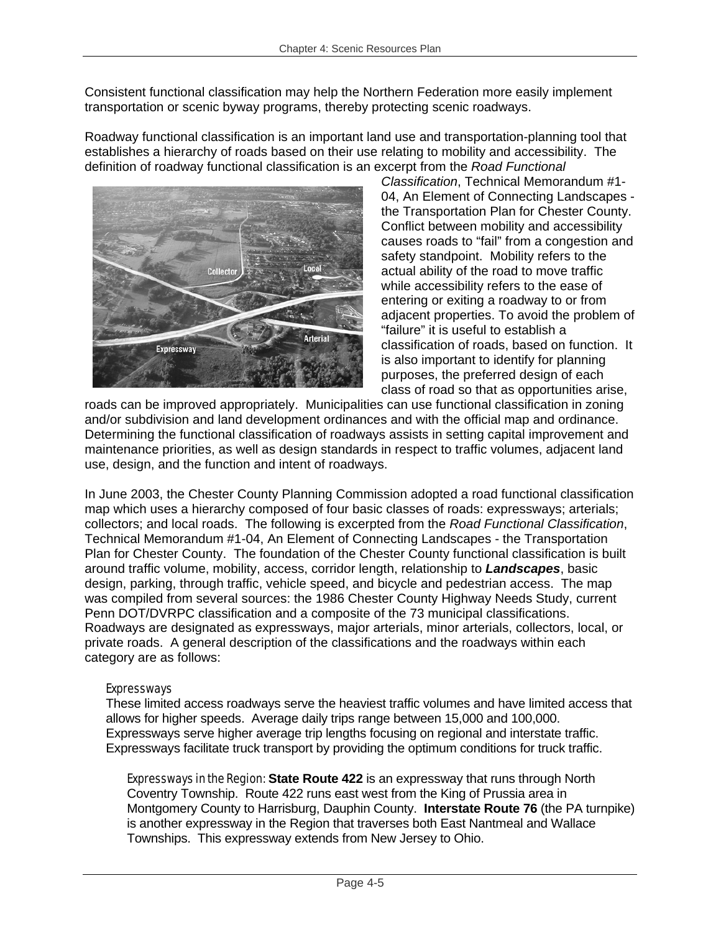Consistent functional classification may help the Northern Federation more easily implement transportation or scenic byway programs, thereby protecting scenic roadways.

Roadway functional classification is an important land use and transportation-planning tool that establishes a hierarchy of roads based on their use relating to mobility and accessibility. The definition of roadway functional classification is an excerpt from the *Road Functional* 



*Classification*, Technical Memorandum #1- 04, An Element of Connecting Landscapes the Transportation Plan for Chester County. Conflict between mobility and accessibility causes roads to "fail" from a congestion and safety standpoint. Mobility refers to the actual ability of the road to move traffic while accessibility refers to the ease of entering or exiting a roadway to or from adjacent properties. To avoid the problem of "failure" it is useful to establish a classification of roads, based on function. It is also important to identify for planning purposes, the preferred design of each class of road so that as opportunities arise,

roads can be improved appropriately. Municipalities can use functional classification in zoning and/or subdivision and land development ordinances and with the official map and ordinance. Determining the functional classification of roadways assists in setting capital improvement and maintenance priorities, as well as design standards in respect to traffic volumes, adjacent land use, design, and the function and intent of roadways.

In June 2003, the Chester County Planning Commission adopted a road functional classification map which uses a hierarchy composed of four basic classes of roads: expressways; arterials; collectors; and local roads. The following is excerpted from the *Road Functional Classification*, Technical Memorandum #1-04, An Element of Connecting Landscapes - the Transportation Plan for Chester County. The foundation of the Chester County functional classification is built around traffic volume, mobility, access, corridor length, relationship to *Landscapes*, basic design, parking, through traffic, vehicle speed, and bicycle and pedestrian access. The map was compiled from several sources: the 1986 Chester County Highway Needs Study, current Penn DOT/DVRPC classification and a composite of the 73 municipal classifications. Roadways are designated as expressways, major arterials, minor arterials, collectors, local, or private roads. A general description of the classifications and the roadways within each category are as follows:

# Expressways

These limited access roadways serve the heaviest traffic volumes and have limited access that allows for higher speeds. Average daily trips range between 15,000 and 100,000. Expressways serve higher average trip lengths focusing on regional and interstate traffic. Expressways facilitate truck transport by providing the optimum conditions for truck traffic.

Expressways in the Region: **State Route 422** is an expressway that runs through North Coventry Township. Route 422 runs east west from the King of Prussia area in Montgomery County to Harrisburg, Dauphin County. **Interstate Route 76** (the PA turnpike) is another expressway in the Region that traverses both East Nantmeal and Wallace Townships. This expressway extends from New Jersey to Ohio.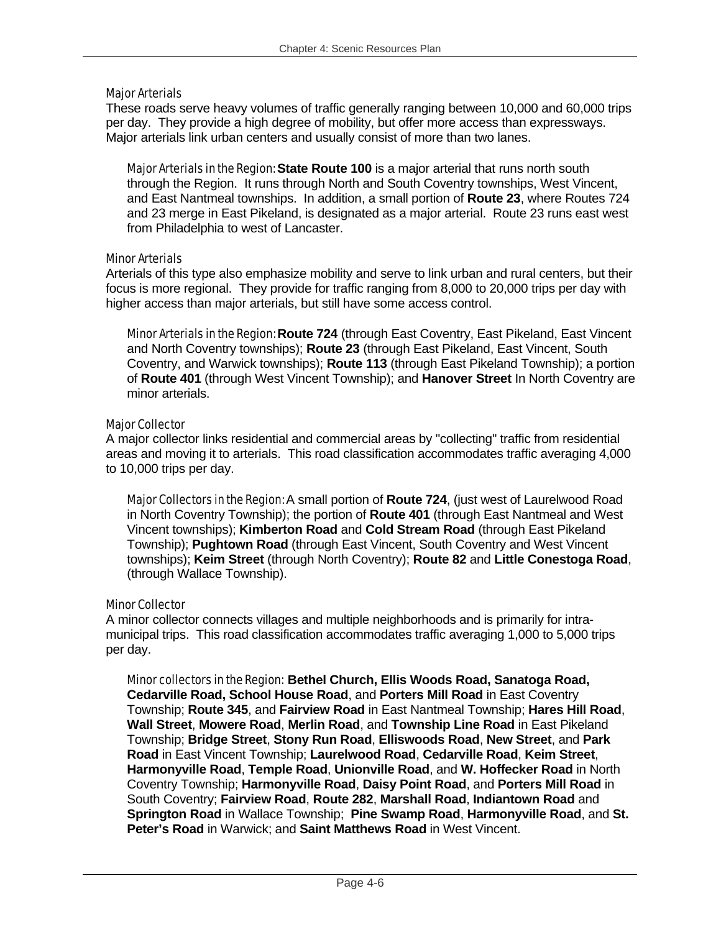### Major Arterials

These roads serve heavy volumes of traffic generally ranging between 10,000 and 60,000 trips per day. They provide a high degree of mobility, but offer more access than expressways. Major arterials link urban centers and usually consist of more than two lanes.

Major Arterials in the Region: **State Route 100** is a major arterial that runs north south through the Region. It runs through North and South Coventry townships, West Vincent, and East Nantmeal townships. In addition, a small portion of **Route 23**, where Routes 724 and 23 merge in East Pikeland, is designated as a major arterial. Route 23 runs east west from Philadelphia to west of Lancaster.

### Minor Arterials

Arterials of this type also emphasize mobility and serve to link urban and rural centers, but their focus is more regional. They provide for traffic ranging from 8,000 to 20,000 trips per day with higher access than major arterials, but still have some access control.

Minor Arterials in the Region: **Route 724** (through East Coventry, East Pikeland, East Vincent and North Coventry townships); **Route 23** (through East Pikeland, East Vincent, South Coventry, and Warwick townships); **Route 113** (through East Pikeland Township); a portion of **Route 401** (through West Vincent Township); and **Hanover Street** In North Coventry are minor arterials.

### Major Collector

A major collector links residential and commercial areas by "collecting" traffic from residential areas and moving it to arterials. This road classification accommodates traffic averaging 4,000 to 10,000 trips per day.

Major Collectors in the Region: A small portion of **Route 724**, (just west of Laurelwood Road in North Coventry Township); the portion of **Route 401** (through East Nantmeal and West Vincent townships); **Kimberton Road** and **Cold Stream Road** (through East Pikeland Township); **Pughtown Road** (through East Vincent, South Coventry and West Vincent townships); **Keim Street** (through North Coventry); **Route 82** and **Little Conestoga Road**, (through Wallace Township).

# Minor Collector

A minor collector connects villages and multiple neighborhoods and is primarily for intramunicipal trips. This road classification accommodates traffic averaging 1,000 to 5,000 trips per day.

Minor collectors in the Region: **Bethel Church, Ellis Woods Road, Sanatoga Road, Cedarville Road, School House Road**, and **Porters Mill Road** in East Coventry Township; **Route 345**, and **Fairview Road** in East Nantmeal Township; **Hares Hill Road**, **Wall Street**, **Mowere Road**, **Merlin Road**, and **Township Line Road** in East Pikeland Township; **Bridge Street**, **Stony Run Road**, **Elliswoods Road**, **New Street**, and **Park Road** in East Vincent Township; **Laurelwood Road**, **Cedarville Road**, **Keim Street**, **Harmonyville Road**, **Temple Road**, **Unionville Road**, and **W. Hoffecker Road** in North Coventry Township; **Harmonyville Road**, **Daisy Point Road**, and **Porters Mill Road** in South Coventry; **Fairview Road**, **Route 282**, **Marshall Road**, **Indiantown Road** and **Springton Road** in Wallace Township; **Pine Swamp Road**, **Harmonyville Road**, and **St. Peter's Road** in Warwick; and **Saint Matthews Road** in West Vincent.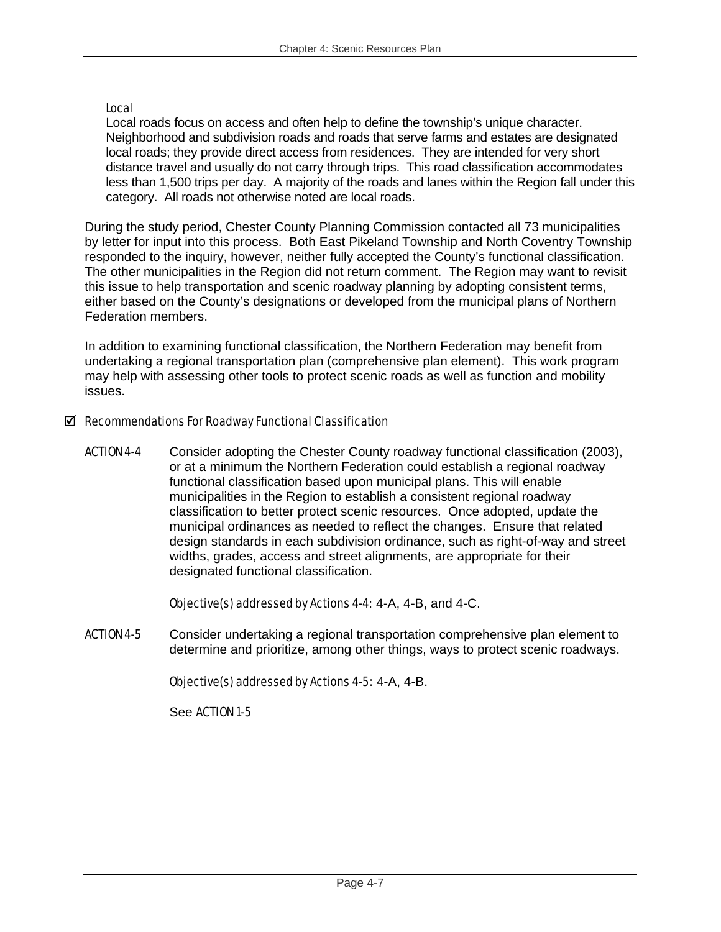### Local

Local roads focus on access and often help to define the township's unique character. Neighborhood and subdivision roads and roads that serve farms and estates are designated local roads; they provide direct access from residences. They are intended for very short distance travel and usually do not carry through trips. This road classification accommodates less than 1,500 trips per day. A majority of the roads and lanes within the Region fall under this category. All roads not otherwise noted are local roads.

During the study period, Chester County Planning Commission contacted all 73 municipalities by letter for input into this process. Both East Pikeland Township and North Coventry Township responded to the inquiry, however, neither fully accepted the County's functional classification. The other municipalities in the Region did not return comment. The Region may want to revisit this issue to help transportation and scenic roadway planning by adopting consistent terms, either based on the County's designations or developed from the municipal plans of Northern Federation members.

In addition to examining functional classification, the Northern Federation may benefit from undertaking a regional transportation plan (comprehensive plan element). This work program may help with assessing other tools to protect scenic roads as well as function and mobility issues.

### $\boxtimes$  Recommendations For Roadway Functional Classification

ACTION 4-4 Consider adopting the Chester County roadway functional classification (2003), or at a minimum the Northern Federation could establish a regional roadway functional classification based upon municipal plans. This will enable municipalities in the Region to establish a consistent regional roadway classification to better protect scenic resources. Once adopted, update the municipal ordinances as needed to reflect the changes. Ensure that related design standards in each subdivision ordinance, such as right-of-way and street widths, grades, access and street alignments, are appropriate for their designated functional classification.

### Objective(s) addressed by Actions 4-4: 4-A, 4-B, and 4-C.

ACTION 4-5 Consider undertaking a regional transportation comprehensive plan element to determine and prioritize, among other things, ways to protect scenic roadways.

### Objective(s) addressed by Actions 4-5: 4-A, 4-B.

### See ACTION 1-5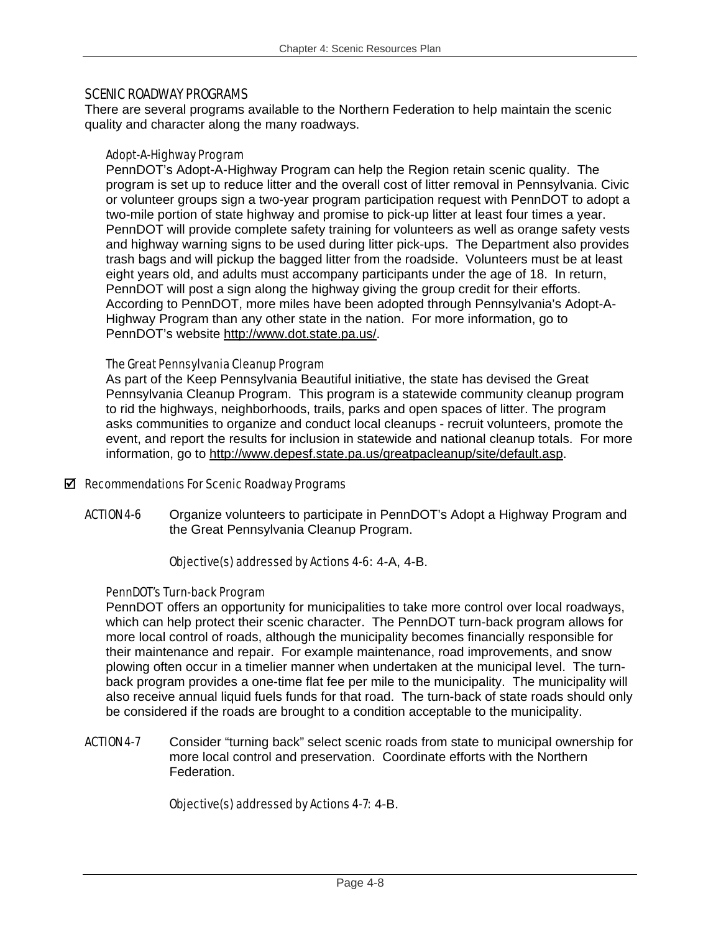### SCENIC ROADWAY PROGRAMS

There are several programs available to the Northern Federation to help maintain the scenic quality and character along the many roadways.

### Adopt-A-Highway Program

PennDOT's Adopt-A-Highway Program can help the Region retain scenic quality. The program is set up to reduce litter and the overall cost of litter removal in Pennsylvania. Civic or volunteer groups sign a two-year program participation request with PennDOT to adopt a two-mile portion of state highway and promise to pick-up litter at least four times a year. PennDOT will provide complete safety training for volunteers as well as orange safety vests and highway warning signs to be used during litter pick-ups. The Department also provides trash bags and will pickup the bagged litter from the roadside. Volunteers must be at least eight years old, and adults must accompany participants under the age of 18. In return, PennDOT will post a sign along the highway giving the group credit for their efforts. According to PennDOT, more miles have been adopted through Pennsylvania's Adopt-A-Highway Program than any other state in the nation. For more information, go to PennDOT's website http://www.dot.state.pa.us/.

### The Great Pennsylvania Cleanup Program

As part of the Keep Pennsylvania Beautiful initiative, the state has devised the Great Pennsylvania Cleanup Program. This program is a statewide community cleanup program to rid the highways, neighborhoods, trails, parks and open spaces of litter. The program asks communities to organize and conduct local cleanups - recruit volunteers, promote the event, and report the results for inclusion in statewide and national cleanup totals. For more information, go to http://www.depesf.state.pa.us/greatpacleanup/site/default.asp.

### $\boxtimes$  Recommendations For Scenic Roadway Programs

ACTION 4-6 Organize volunteers to participate in PennDOT's Adopt a Highway Program and the Great Pennsylvania Cleanup Program.

### Objective(s) addressed by Actions 4-6: 4-A, 4-B.

### PennDOT's Turn-back Program

PennDOT offers an opportunity for municipalities to take more control over local roadways, which can help protect their scenic character. The PennDOT turn-back program allows for more local control of roads, although the municipality becomes financially responsible for their maintenance and repair. For example maintenance, road improvements, and snow plowing often occur in a timelier manner when undertaken at the municipal level. The turnback program provides a one-time flat fee per mile to the municipality. The municipality will also receive annual liquid fuels funds for that road. The turn-back of state roads should only be considered if the roads are brought to a condition acceptable to the municipality.

**ACTION 4-7** Consider "turning back" select scenic roads from state to municipal ownership for more local control and preservation. Coordinate efforts with the Northern Federation.

# Objective(s) addressed by Actions 4-7: 4-B.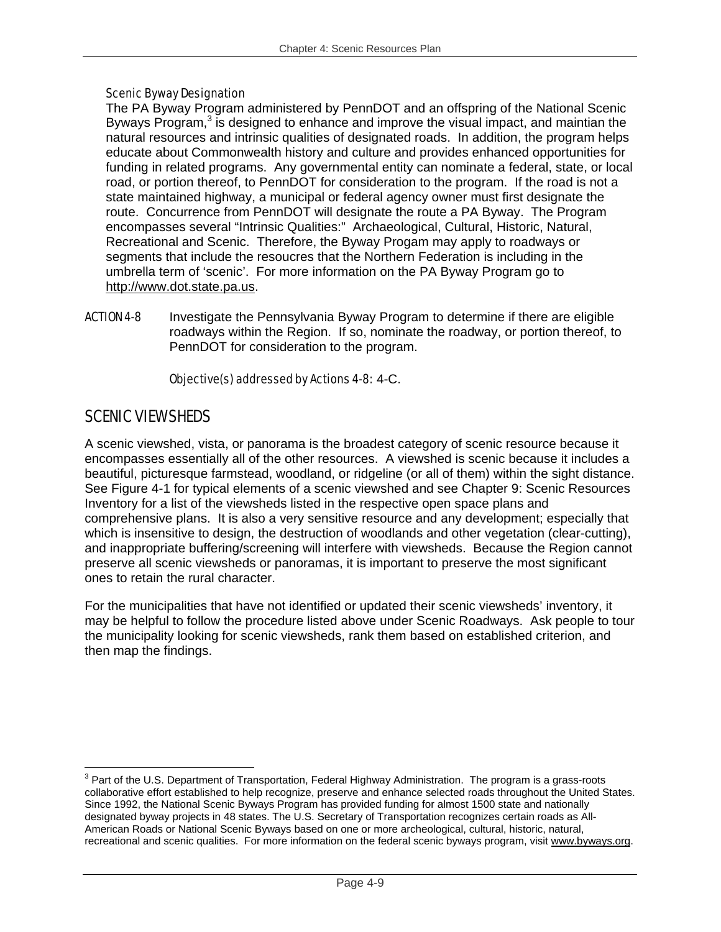### Scenic Byway Designation

The PA Byway Program administered by PennDOT and an offspring of the National Scenic Byways Program, $3$  is designed to enhance and improve the visual impact, and maintian the natural resources and intrinsic qualities of designated roads. In addition, the program helps educate about Commonwealth history and culture and provides enhanced opportunities for funding in related programs. Any governmental entity can nominate a federal, state, or local road, or portion thereof, to PennDOT for consideration to the program. If the road is not a state maintained highway, a municipal or federal agency owner must first designate the route. Concurrence from PennDOT will designate the route a PA Byway. The Program encompasses several "Intrinsic Qualities:" Archaeological, Cultural, Historic, Natural, Recreational and Scenic. Therefore, the Byway Progam may apply to roadways or segments that include the resoucres that the Northern Federation is including in the umbrella term of 'scenic'. For more information on the PA Byway Program go to http://www.dot.state.pa.us.

**ACTION 4-8** Investigate the Pennsylvania Byway Program to determine if there are eligible roadways within the Region. If so, nominate the roadway, or portion thereof, to PennDOT for consideration to the program.

### Objective(s) addressed by Actions 4-8: 4-C.

# SCENIC VIEWSHEDS

A scenic viewshed, vista, or panorama is the broadest category of scenic resource because it encompasses essentially all of the other resources. A viewshed is scenic because it includes a beautiful, picturesque farmstead, woodland, or ridgeline (or all of them) within the sight distance. See Figure 4-1 for typical elements of a scenic viewshed and see Chapter 9: Scenic Resources Inventory for a list of the viewsheds listed in the respective open space plans and comprehensive plans. It is also a very sensitive resource and any development; especially that which is insensitive to design, the destruction of woodlands and other vegetation (clear-cutting), and inappropriate buffering/screening will interfere with viewsheds. Because the Region cannot preserve all scenic viewsheds or panoramas, it is important to preserve the most significant ones to retain the rural character.

For the municipalities that have not identified or updated their scenic viewsheds' inventory, it may be helpful to follow the procedure listed above under Scenic Roadways. Ask people to tour the municipality looking for scenic viewsheds, rank them based on established criterion, and then map the findings.

<sup>1</sup>  $3$  Part of the U.S. Department of Transportation, Federal Highway Administration. The program is a grass-roots collaborative effort established to help recognize, preserve and enhance selected roads throughout the United States. Since 1992, the National Scenic Byways Program has provided funding for almost 1500 state and nationally designated byway projects in 48 states. The U.S. Secretary of Transportation recognizes certain roads as All-American Roads or National Scenic Byways based on one or more archeological, cultural, historic, natural, recreational and scenic qualities. For more information on the federal scenic byways program, visit www.byways.org.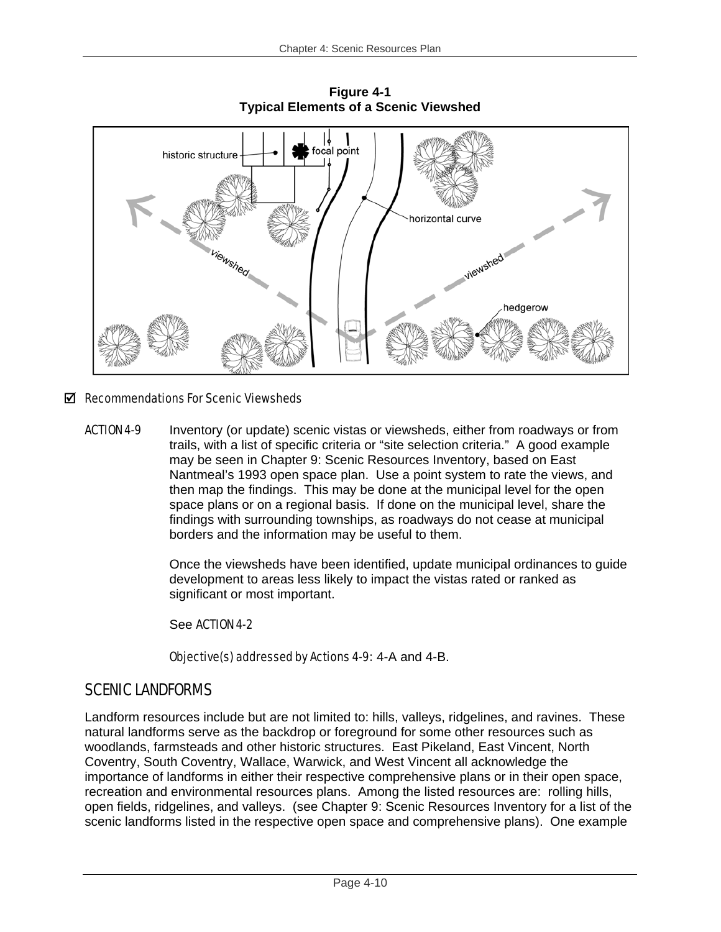

**Figure 4-1 Typical Elements of a Scenic Viewshed** 

# $\boxtimes$  Recommendations For Scenic Viewsheds

**ACTION 4-9** Inventory (or update) scenic vistas or viewsheds, either from roadways or from trails, with a list of specific criteria or "site selection criteria." A good example may be seen in Chapter 9: Scenic Resources Inventory, based on East Nantmeal's 1993 open space plan. Use a point system to rate the views, and then map the findings. This may be done at the municipal level for the open space plans or on a regional basis. If done on the municipal level, share the findings with surrounding townships, as roadways do not cease at municipal borders and the information may be useful to them.

> Once the viewsheds have been identified, update municipal ordinances to guide development to areas less likely to impact the vistas rated or ranked as significant or most important.

See ACTION 4-2

Objective(s) addressed by Actions 4-9: 4-A and 4-B.

# SCENIC LANDFORMS

Landform resources include but are not limited to: hills, valleys, ridgelines, and ravines. These natural landforms serve as the backdrop or foreground for some other resources such as woodlands, farmsteads and other historic structures. East Pikeland, East Vincent, North Coventry, South Coventry, Wallace, Warwick, and West Vincent all acknowledge the importance of landforms in either their respective comprehensive plans or in their open space, recreation and environmental resources plans. Among the listed resources are: rolling hills, open fields, ridgelines, and valleys. (see Chapter 9: Scenic Resources Inventory for a list of the scenic landforms listed in the respective open space and comprehensive plans). One example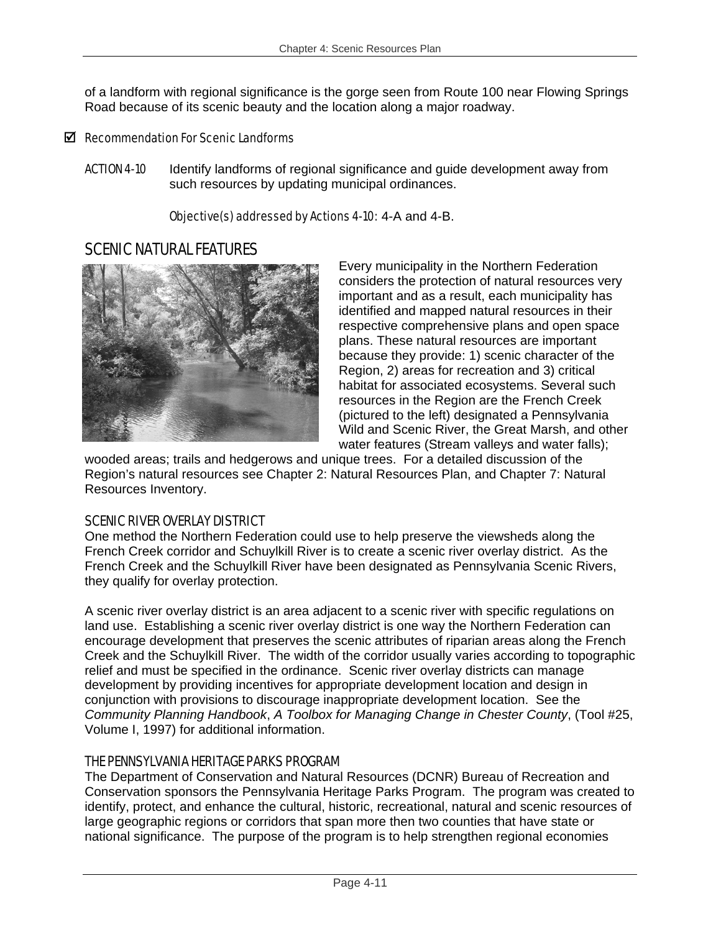of a landform with regional significance is the gorge seen from Route 100 near Flowing Springs Road because of its scenic beauty and the location along a major roadway.

# $\boxtimes$  Recommendation For Scenic Landforms

ACTION 4-10 Identify landforms of regional significance and guide development away from such resources by updating municipal ordinances.

Objective(s) addressed by Actions 4-10: 4-A and 4-B.

# SCENIC NATURAL FEATURES



Every municipality in the Northern Federation considers the protection of natural resources very important and as a result, each municipality has identified and mapped natural resources in their respective comprehensive plans and open space plans. These natural resources are important because they provide: 1) scenic character of the Region, 2) areas for recreation and 3) critical habitat for associated ecosystems. Several such resources in the Region are the French Creek (pictured to the left) designated a Pennsylvania Wild and Scenic River, the Great Marsh, and other water features (Stream valleys and water falls);

wooded areas; trails and hedgerows and unique trees. For a detailed discussion of the Region's natural resources see Chapter 2: Natural Resources Plan, and Chapter 7: Natural Resources Inventory.

# SCENIC RIVER OVERLAY DISTRICT

One method the Northern Federation could use to help preserve the viewsheds along the French Creek corridor and Schuylkill River is to create a scenic river overlay district. As the French Creek and the Schuylkill River have been designated as Pennsylvania Scenic Rivers, they qualify for overlay protection.

A scenic river overlay district is an area adjacent to a scenic river with specific regulations on land use. Establishing a scenic river overlay district is one way the Northern Federation can encourage development that preserves the scenic attributes of riparian areas along the French Creek and the Schuylkill River. The width of the corridor usually varies according to topographic relief and must be specified in the ordinance. Scenic river overlay districts can manage development by providing incentives for appropriate development location and design in conjunction with provisions to discourage inappropriate development location. See the *Community Planning Handbook*, *A Toolbox for Managing Change in Chester County*, (Tool #25, Volume I, 1997) for additional information.

# THE PENNSYLVANIA HERITAGE PARKS PROGRAM

The Department of Conservation and Natural Resources (DCNR) Bureau of Recreation and Conservation sponsors the Pennsylvania Heritage Parks Program. The program was created to identify, protect, and enhance the cultural, historic, recreational, natural and scenic resources of large geographic regions or corridors that span more then two counties that have state or national significance. The purpose of the program is to help strengthen regional economies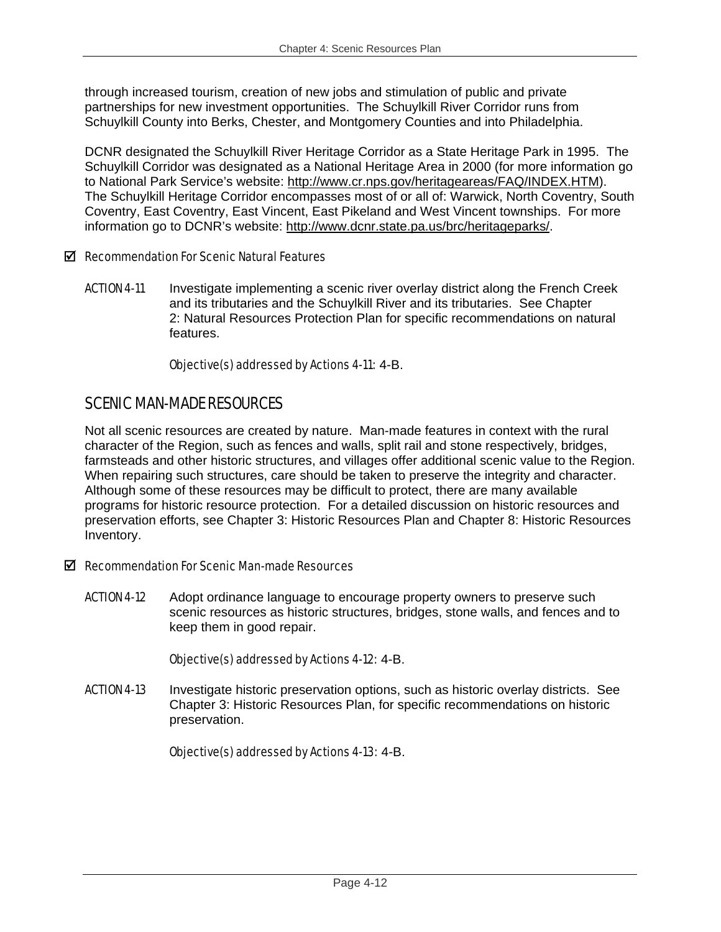through increased tourism, creation of new jobs and stimulation of public and private partnerships for new investment opportunities. The Schuylkill River Corridor runs from Schuylkill County into Berks, Chester, and Montgomery Counties and into Philadelphia.

DCNR designated the Schuylkill River Heritage Corridor as a State Heritage Park in 1995. The Schuylkill Corridor was designated as a National Heritage Area in 2000 (for more information go to National Park Service's website: http://www.cr.nps.gov/heritageareas/FAQ/INDEX.HTM). The Schuylkill Heritage Corridor encompasses most of or all of: Warwick, North Coventry, South Coventry, East Coventry, East Vincent, East Pikeland and West Vincent townships. For more information go to DCNR's website: http://www.dcnr.state.pa.us/brc/heritageparks/.

### $\boxtimes$  Recommendation For Scenic Natural Features

**ACTION 4-11** Investigate implementing a scenic river overlay district along the French Creek and its tributaries and the Schuylkill River and its tributaries. See Chapter 2: Natural Resources Protection Plan for specific recommendations on natural features.

### Objective(s) addressed by Actions 4-11: 4-B.

# SCENIC MAN-MADE RESOURCES

Not all scenic resources are created by nature. Man-made features in context with the rural character of the Region, such as fences and walls, split rail and stone respectively, bridges, farmsteads and other historic structures, and villages offer additional scenic value to the Region. When repairing such structures, care should be taken to preserve the integrity and character. Although some of these resources may be difficult to protect, there are many available programs for historic resource protection. For a detailed discussion on historic resources and preservation efforts, see Chapter 3: Historic Resources Plan and Chapter 8: Historic Resources Inventory.

# $\boxtimes$  Recommendation For Scenic Man-made Resources

**ACTION 4-12** Adopt ordinance language to encourage property owners to preserve such scenic resources as historic structures, bridges, stone walls, and fences and to keep them in good repair.

### Objective(s) addressed by Actions 4-12: 4-B.

**ACTION 4-13** Investigate historic preservation options, such as historic overlay districts. See Chapter 3: Historic Resources Plan, for specific recommendations on historic preservation.

Objective(s) addressed by Actions 4-13: 4-B.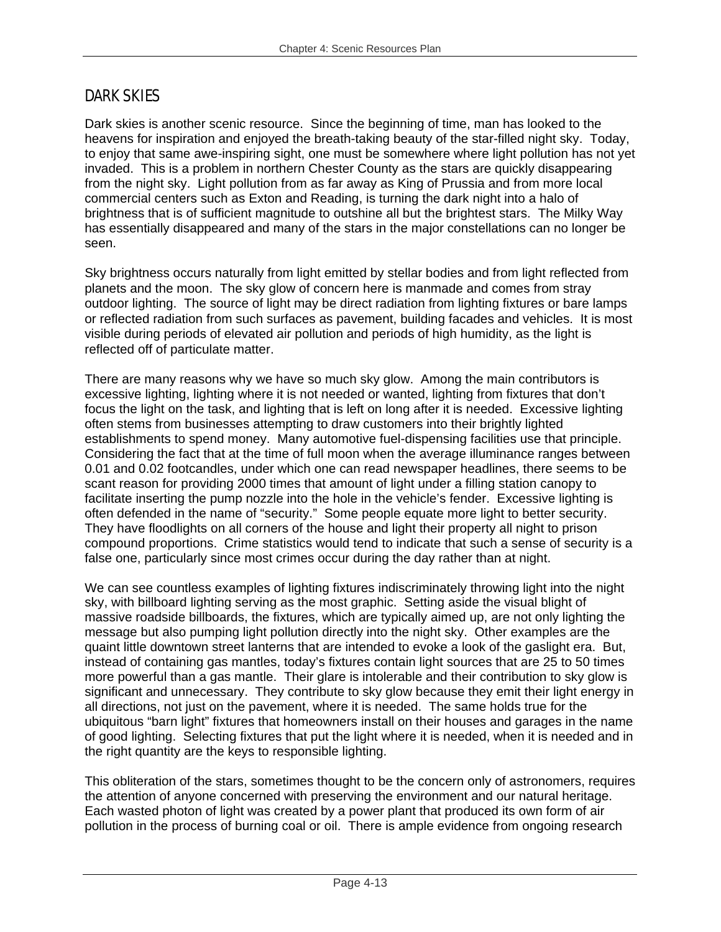# DARK SKIES

Dark skies is another scenic resource. Since the beginning of time, man has looked to the heavens for inspiration and enjoyed the breath-taking beauty of the star-filled night sky. Today, to enjoy that same awe-inspiring sight, one must be somewhere where light pollution has not yet invaded. This is a problem in northern Chester County as the stars are quickly disappearing from the night sky. Light pollution from as far away as King of Prussia and from more local commercial centers such as Exton and Reading, is turning the dark night into a halo of brightness that is of sufficient magnitude to outshine all but the brightest stars. The Milky Way has essentially disappeared and many of the stars in the major constellations can no longer be seen.

Sky brightness occurs naturally from light emitted by stellar bodies and from light reflected from planets and the moon. The sky glow of concern here is manmade and comes from stray outdoor lighting. The source of light may be direct radiation from lighting fixtures or bare lamps or reflected radiation from such surfaces as pavement, building facades and vehicles. It is most visible during periods of elevated air pollution and periods of high humidity, as the light is reflected off of particulate matter.

There are many reasons why we have so much sky glow. Among the main contributors is excessive lighting, lighting where it is not needed or wanted, lighting from fixtures that don't focus the light on the task, and lighting that is left on long after it is needed. Excessive lighting often stems from businesses attempting to draw customers into their brightly lighted establishments to spend money. Many automotive fuel-dispensing facilities use that principle. Considering the fact that at the time of full moon when the average illuminance ranges between 0.01 and 0.02 footcandles, under which one can read newspaper headlines, there seems to be scant reason for providing 2000 times that amount of light under a filling station canopy to facilitate inserting the pump nozzle into the hole in the vehicle's fender. Excessive lighting is often defended in the name of "security." Some people equate more light to better security. They have floodlights on all corners of the house and light their property all night to prison compound proportions. Crime statistics would tend to indicate that such a sense of security is a false one, particularly since most crimes occur during the day rather than at night.

We can see countless examples of lighting fixtures indiscriminately throwing light into the night sky, with billboard lighting serving as the most graphic. Setting aside the visual blight of massive roadside billboards, the fixtures, which are typically aimed up, are not only lighting the message but also pumping light pollution directly into the night sky. Other examples are the quaint little downtown street lanterns that are intended to evoke a look of the gaslight era. But, instead of containing gas mantles, today's fixtures contain light sources that are 25 to 50 times more powerful than a gas mantle. Their glare is intolerable and their contribution to sky glow is significant and unnecessary. They contribute to sky glow because they emit their light energy in all directions, not just on the pavement, where it is needed. The same holds true for the ubiquitous "barn light" fixtures that homeowners install on their houses and garages in the name of good lighting. Selecting fixtures that put the light where it is needed, when it is needed and in the right quantity are the keys to responsible lighting.

This obliteration of the stars, sometimes thought to be the concern only of astronomers, requires the attention of anyone concerned with preserving the environment and our natural heritage. Each wasted photon of light was created by a power plant that produced its own form of air pollution in the process of burning coal or oil. There is ample evidence from ongoing research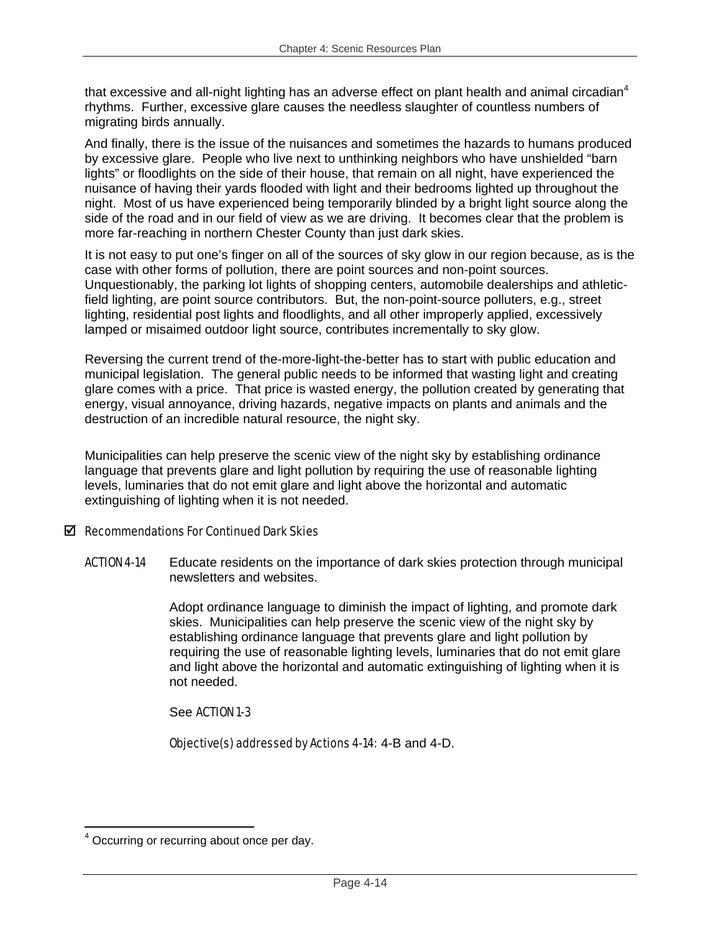that excessive and all-night lighting has an adverse effect on plant health and animal circadian<sup>4</sup> rhythms. Further, excessive glare causes the needless slaughter of countless numbers of migrating birds annually.

And finally, there is the issue of the nuisances and sometimes the hazards to humans produced by excessive glare. People who live next to unthinking neighbors who have unshielded "barn lights" or floodlights on the side of their house, that remain on all night, have experienced the nuisance of having their yards flooded with light and their bedrooms lighted up throughout the night. Most of us have experienced being temporarily blinded by a bright light source along the side of the road and in our field of view as we are driving. It becomes clear that the problem is more far-reaching in northern Chester County than just dark skies.

It is not easy to put one's finger on all of the sources of sky glow in our region because, as is the case with other forms of pollution, there are point sources and non-point sources. Unquestionably, the parking lot lights of shopping centers, automobile dealerships and athleticfield lighting, are point source contributors. But, the non-point-source polluters, e.g., street lighting, residential post lights and floodlights, and all other improperly applied, excessively lamped or misaimed outdoor light source, contributes incrementally to sky glow.

Reversing the current trend of the-more-light-the-better has to start with public education and municipal legislation. The general public needs to be informed that wasting light and creating glare comes with a price. That price is wasted energy, the pollution created by generating that energy, visual annoyance, driving hazards, negative impacts on plants and animals and the destruction of an incredible natural resource, the night sky.

Municipalities can help preserve the scenic view of the night sky by establishing ordinance language that prevents glare and light pollution by requiring the use of reasonable lighting levels, luminaries that do not emit glare and light above the horizontal and automatic extinguishing of lighting when it is not needed.

# $\boxtimes$  Recommendations For Continued Dark Skies

ACTION 4-14 Educate residents on the importance of dark skies protection through municipal newsletters and websites.

> Adopt ordinance language to diminish the impact of lighting, and promote dark skies. Municipalities can help preserve the scenic view of the night sky by establishing ordinance language that prevents glare and light pollution by requiring the use of reasonable lighting levels, luminaries that do not emit glare and light above the horizontal and automatic extinguishing of lighting when it is not needed.

# See ACTION 1-3

Objective(s) addressed by Actions 4-14: 4-B and 4-D.

1

<sup>4</sup> Occurring or recurring about once per day.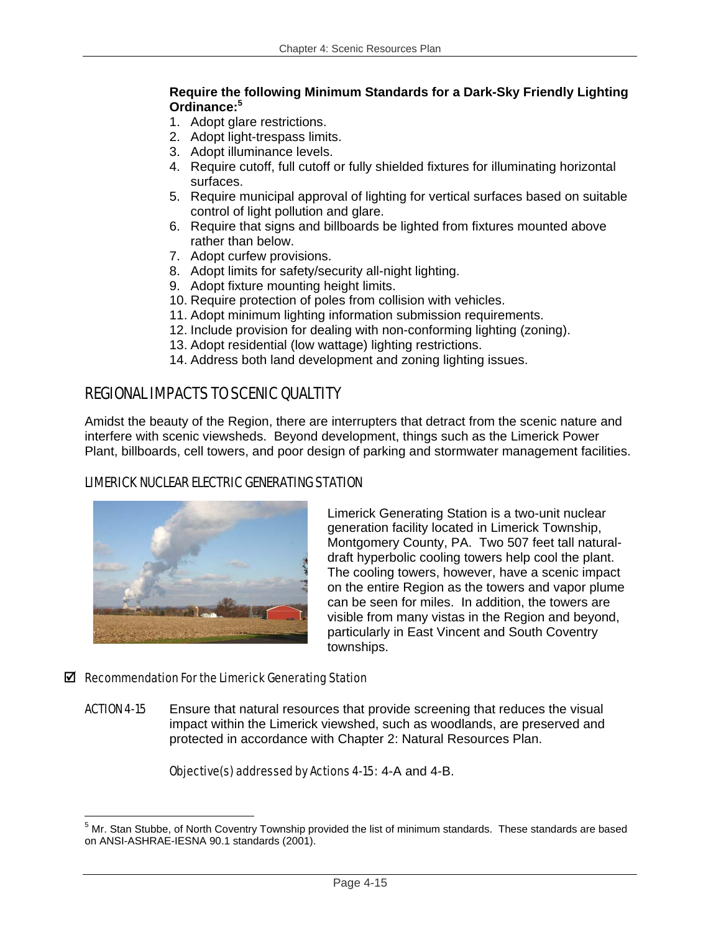# **Require the following Minimum Standards for a Dark-Sky Friendly Lighting Ordinance:<sup>5</sup>**

- 1. Adopt glare restrictions.
- 2. Adopt light-trespass limits.
- 3. Adopt illuminance levels.
- 4. Require cutoff, full cutoff or fully shielded fixtures for illuminating horizontal surfaces.
- 5. Require municipal approval of lighting for vertical surfaces based on suitable control of light pollution and glare.
- 6. Require that signs and billboards be lighted from fixtures mounted above rather than below.
- 7. Adopt curfew provisions.
- 8. Adopt limits for safety/security all-night lighting.
- 9. Adopt fixture mounting height limits.
- 10. Require protection of poles from collision with vehicles.
- 11. Adopt minimum lighting information submission requirements.
- 12. Include provision for dealing with non-conforming lighting (zoning).
- 13. Adopt residential (low wattage) lighting restrictions.
- 14. Address both land development and zoning lighting issues.

# REGIONAL IMPACTS TO SCENIC QUALTITY

Amidst the beauty of the Region, there are interrupters that detract from the scenic nature and interfere with scenic viewsheds. Beyond development, things such as the Limerick Power Plant, billboards, cell towers, and poor design of parking and stormwater management facilities.

# LIMERICK NUCLEAR ELECTRIC GENERATING STATION



Limerick Generating Station is a two-unit nuclear generation facility located in Limerick Township, Montgomery County, PA. Two 507 feet tall naturaldraft hyperbolic cooling towers help cool the plant. The cooling towers, however, have a scenic impact on the entire Region as the towers and vapor plume can be seen for miles. In addition, the towers are visible from many vistas in the Region and beyond, particularly in East Vincent and South Coventry townships.

# $\boxtimes$  Recommendation For the Limerick Generating Station

**ACTION 4-15** Ensure that natural resources that provide screening that reduces the visual impact within the Limerick viewshed, such as woodlands, are preserved and protected in accordance with Chapter 2: Natural Resources Plan.

# Objective(s) addressed by Actions 4-15: 4-A and 4-B.

 5 Mr. Stan Stubbe, of North Coventry Township provided the list of minimum standards. These standards are based on ANSI-ASHRAE-IESNA 90.1 standards (2001).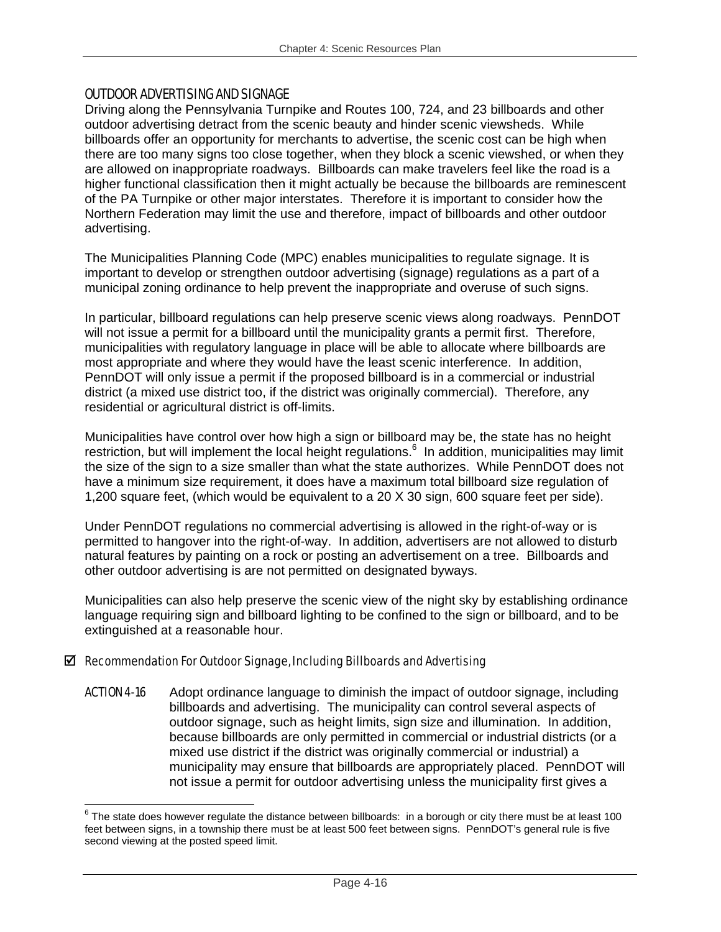### OUTDOOR ADVERTISING AND SIGNAGE

Driving along the Pennsylvania Turnpike and Routes 100, 724, and 23 billboards and other outdoor advertising detract from the scenic beauty and hinder scenic viewsheds. While billboards offer an opportunity for merchants to advertise, the scenic cost can be high when there are too many signs too close together, when they block a scenic viewshed, or when they are allowed on inappropriate roadways. Billboards can make travelers feel like the road is a higher functional classification then it might actually be because the billboards are reminescent of the PA Turnpike or other major interstates. Therefore it is important to consider how the Northern Federation may limit the use and therefore, impact of billboards and other outdoor advertising.

The Municipalities Planning Code (MPC) enables municipalities to regulate signage. It is important to develop or strengthen outdoor advertising (signage) regulations as a part of a municipal zoning ordinance to help prevent the inappropriate and overuse of such signs.

In particular, billboard regulations can help preserve scenic views along roadways. PennDOT will not issue a permit for a billboard until the municipality grants a permit first. Therefore, municipalities with regulatory language in place will be able to allocate where billboards are most appropriate and where they would have the least scenic interference. In addition, PennDOT will only issue a permit if the proposed billboard is in a commercial or industrial district (a mixed use district too, if the district was originally commercial). Therefore, any residential or agricultural district is off-limits.

Municipalities have control over how high a sign or billboard may be, the state has no height restriction, but will implement the local height regulations.<sup>6</sup> In addition, municipalities may limit the size of the sign to a size smaller than what the state authorizes. While PennDOT does not have a minimum size requirement, it does have a maximum total billboard size regulation of 1,200 square feet, (which would be equivalent to a 20 X 30 sign, 600 square feet per side).

Under PennDOT regulations no commercial advertising is allowed in the right-of-way or is permitted to hangover into the right-of-way. In addition, advertisers are not allowed to disturb natural features by painting on a rock or posting an advertisement on a tree. Billboards and other outdoor advertising is are not permitted on designated byways.

Municipalities can also help preserve the scenic view of the night sky by establishing ordinance language requiring sign and billboard lighting to be confined to the sign or billboard, and to be extinguished at a reasonable hour.

### $\boxtimes$  Recommendation For Outdoor Signage, Including Billboards and Advertising

ACTION 4-16 Adopt ordinance language to diminish the impact of outdoor signage, including billboards and advertising. The municipality can control several aspects of outdoor signage, such as height limits, sign size and illumination. In addition, because billboards are only permitted in commercial or industrial districts (or a mixed use district if the district was originally commercial or industrial) a municipality may ensure that billboards are appropriately placed. PennDOT will not issue a permit for outdoor advertising unless the municipality first gives a

<sup>1</sup>  $^6$  The state does however regulate the distance between billboards: in a borough or city there must be at least 100 feet between signs, in a township there must be at least 500 feet between signs. PennDOT's general rule is five second viewing at the posted speed limit.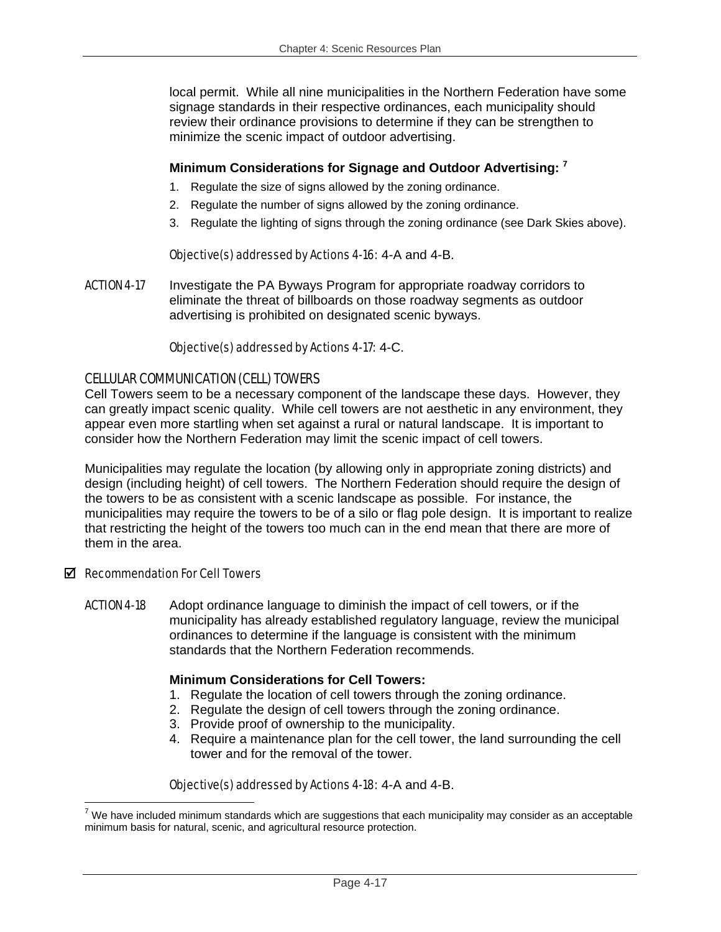local permit. While all nine municipalities in the Northern Federation have some signage standards in their respective ordinances, each municipality should review their ordinance provisions to determine if they can be strengthen to minimize the scenic impact of outdoor advertising.

### **Minimum Considerations for Signage and Outdoor Advertising: 7**

- 1. Regulate the size of signs allowed by the zoning ordinance.
- 2. Regulate the number of signs allowed by the zoning ordinance.
- 3. Regulate the lighting of signs through the zoning ordinance (see Dark Skies above).

### Objective(s) addressed by Actions 4-16: 4-A and 4-B.

ACTION 4-17 Investigate the PA Byways Program for appropriate roadway corridors to eliminate the threat of billboards on those roadway segments as outdoor advertising is prohibited on designated scenic byways.

### Objective(s) addressed by Actions 4-17: 4-C.

### CELLULAR COMMUNICATION (CELL) TOWERS

Cell Towers seem to be a necessary component of the landscape these days. However, they can greatly impact scenic quality. While cell towers are not aesthetic in any environment, they appear even more startling when set against a rural or natural landscape. It is important to consider how the Northern Federation may limit the scenic impact of cell towers.

Municipalities may regulate the location (by allowing only in appropriate zoning districts) and design (including height) of cell towers. The Northern Federation should require the design of the towers to be as consistent with a scenic landscape as possible. For instance, the municipalities may require the towers to be of a silo or flag pole design. It is important to realize that restricting the height of the towers too much can in the end mean that there are more of them in the area.

### $\boxtimes$  Recommendation For Cell Towers

ACTION 4-18 Adopt ordinance language to diminish the impact of cell towers, or if the municipality has already established regulatory language, review the municipal ordinances to determine if the language is consistent with the minimum standards that the Northern Federation recommends.

### **Minimum Considerations for Cell Towers:**

- 1. Regulate the location of cell towers through the zoning ordinance.
- 2. Regulate the design of cell towers through the zoning ordinance.
- 3. Provide proof of ownership to the municipality.
- 4. Require a maintenance plan for the cell tower, the land surrounding the cell tower and for the removal of the tower.

# Objective(s) addressed by Actions 4-18: 4-A and 4-B.

<sup>1</sup>  $7$  We have included minimum standards which are suggestions that each municipality may consider as an acceptable minimum basis for natural, scenic, and agricultural resource protection.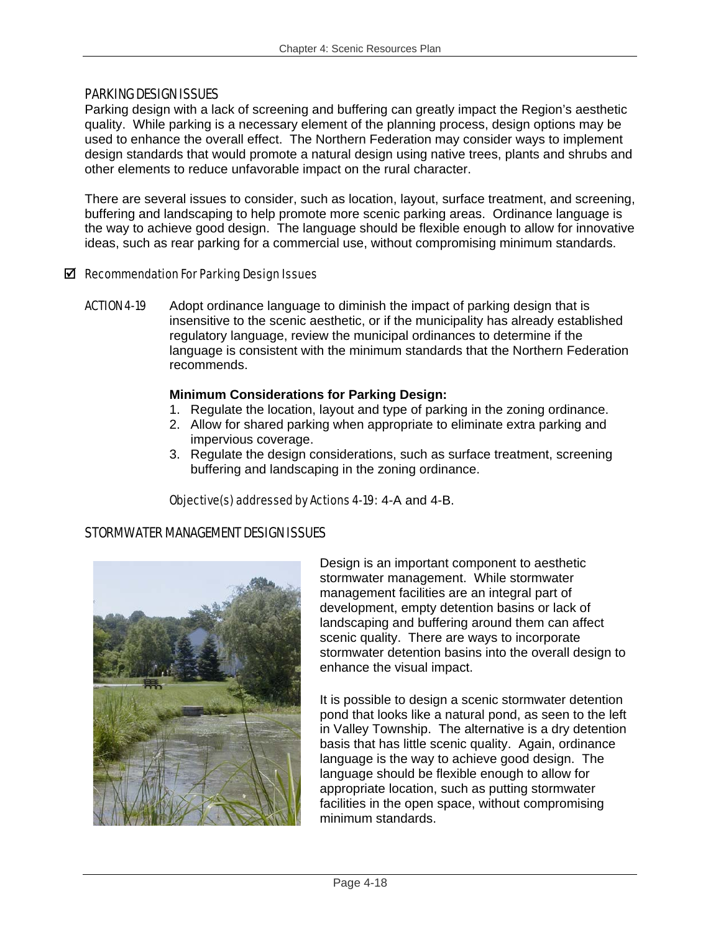### PARKING DESIGN ISSUES

Parking design with a lack of screening and buffering can greatly impact the Region's aesthetic quality. While parking is a necessary element of the planning process, design options may be used to enhance the overall effect. The Northern Federation may consider ways to implement design standards that would promote a natural design using native trees, plants and shrubs and other elements to reduce unfavorable impact on the rural character.

There are several issues to consider, such as location, layout, surface treatment, and screening, buffering and landscaping to help promote more scenic parking areas. Ordinance language is the way to achieve good design. The language should be flexible enough to allow for innovative ideas, such as rear parking for a commercial use, without compromising minimum standards.

### $\boxtimes$  Recommendation For Parking Design Issues

**ACTION 4-19** Adopt ordinance language to diminish the impact of parking design that is insensitive to the scenic aesthetic, or if the municipality has already established regulatory language, review the municipal ordinances to determine if the language is consistent with the minimum standards that the Northern Federation recommends.

### **Minimum Considerations for Parking Design:**

- 1. Regulate the location, layout and type of parking in the zoning ordinance.
- 2. Allow for shared parking when appropriate to eliminate extra parking and impervious coverage.
- 3. Regulate the design considerations, such as surface treatment, screening buffering and landscaping in the zoning ordinance.

### Objective(s) addressed by Actions 4-19: 4-A and 4-B.

# STORMWATER MANAGEMENT DESIGN ISSUES



Design is an important component to aesthetic stormwater management. While stormwater management facilities are an integral part of development, empty detention basins or lack of landscaping and buffering around them can affect scenic quality. There are ways to incorporate stormwater detention basins into the overall design to enhance the visual impact.

It is possible to design a scenic stormwater detention pond that looks like a natural pond, as seen to the left in Valley Township. The alternative is a dry detention basis that has little scenic quality. Again, ordinance language is the way to achieve good design. The language should be flexible enough to allow for appropriate location, such as putting stormwater facilities in the open space, without compromising minimum standards.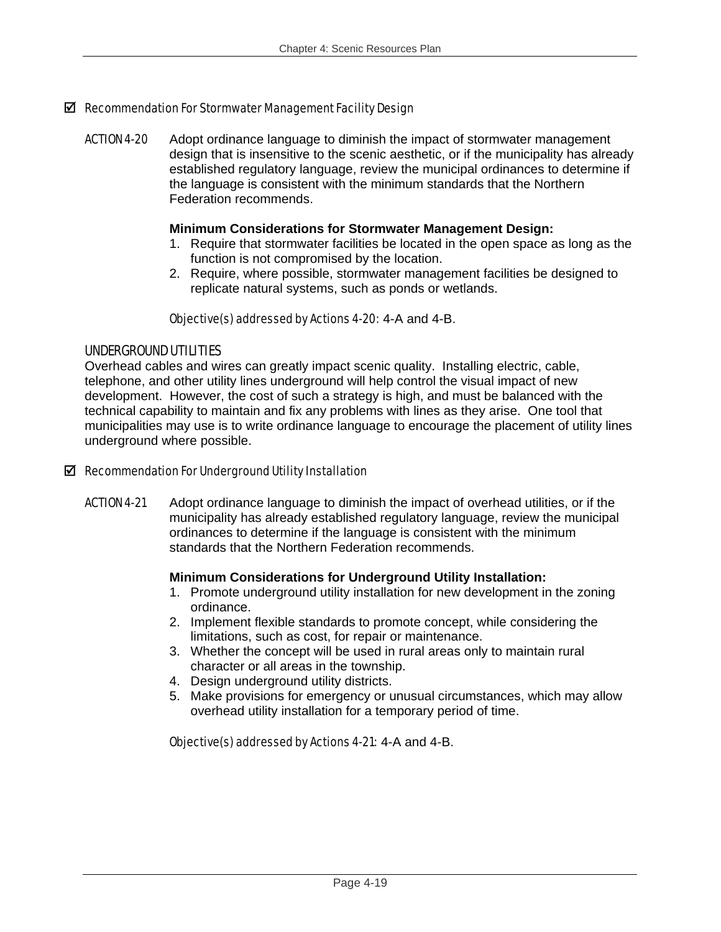### $\boxtimes$  Recommendation For Stormwater Management Facility Design

ACTION 4-20 Adopt ordinance language to diminish the impact of stormwater management design that is insensitive to the scenic aesthetic, or if the municipality has already established regulatory language, review the municipal ordinances to determine if the language is consistent with the minimum standards that the Northern Federation recommends.

#### **Minimum Considerations for Stormwater Management Design:**

- 1. Require that stormwater facilities be located in the open space as long as the function is not compromised by the location.
- 2. Require, where possible, stormwater management facilities be designed to replicate natural systems, such as ponds or wetlands.

### Objective(s) addressed by Actions 4-20: 4-A and 4-B.

### UNDERGROUND UTILITIES

Overhead cables and wires can greatly impact scenic quality. Installing electric, cable, telephone, and other utility lines underground will help control the visual impact of new development. However, the cost of such a strategy is high, and must be balanced with the technical capability to maintain and fix any problems with lines as they arise. One tool that municipalities may use is to write ordinance language to encourage the placement of utility lines underground where possible.

### $\boxtimes$  Recommendation For Underground Utility Installation

ACTION 4-21 Adopt ordinance language to diminish the impact of overhead utilities, or if the municipality has already established regulatory language, review the municipal ordinances to determine if the language is consistent with the minimum standards that the Northern Federation recommends.

### **Minimum Considerations for Underground Utility Installation:**

- 1. Promote underground utility installation for new development in the zoning ordinance.
- 2. Implement flexible standards to promote concept, while considering the limitations, such as cost, for repair or maintenance.
- 3. Whether the concept will be used in rural areas only to maintain rural character or all areas in the township.
- 4. Design underground utility districts.
- 5. Make provisions for emergency or unusual circumstances, which may allow overhead utility installation for a temporary period of time.

### Objective(s) addressed by Actions 4-21: 4-A and 4-B.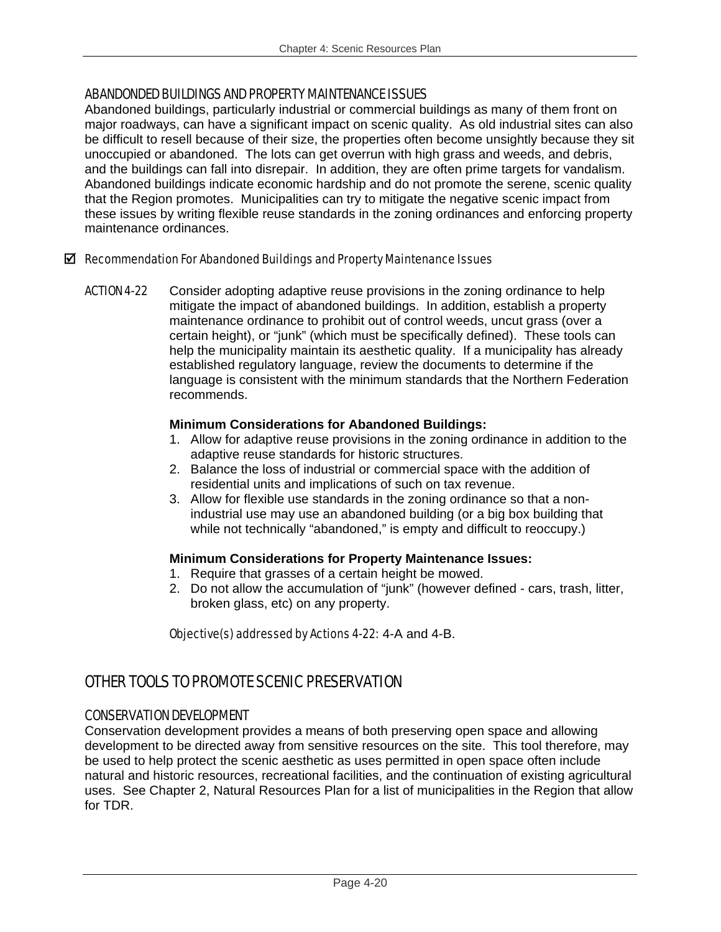### ABANDONDED BUILDINGS AND PROPERTY MAINTENANCE ISSUES

Abandoned buildings, particularly industrial or commercial buildings as many of them front on major roadways, can have a significant impact on scenic quality. As old industrial sites can also be difficult to resell because of their size, the properties often become unsightly because they sit unoccupied or abandoned. The lots can get overrun with high grass and weeds, and debris, and the buildings can fall into disrepair. In addition, they are often prime targets for vandalism. Abandoned buildings indicate economic hardship and do not promote the serene, scenic quality that the Region promotes. Municipalities can try to mitigate the negative scenic impact from these issues by writing flexible reuse standards in the zoning ordinances and enforcing property maintenance ordinances.

### $\boxtimes$  Recommendation For Abandoned Buildings and Property Maintenance Issues

ACTION 4-22 Consider adopting adaptive reuse provisions in the zoning ordinance to help mitigate the impact of abandoned buildings. In addition, establish a property maintenance ordinance to prohibit out of control weeds, uncut grass (over a certain height), or "junk" (which must be specifically defined). These tools can help the municipality maintain its aesthetic quality. If a municipality has already established regulatory language, review the documents to determine if the language is consistent with the minimum standards that the Northern Federation recommends.

### **Minimum Considerations for Abandoned Buildings:**

- 1. Allow for adaptive reuse provisions in the zoning ordinance in addition to the adaptive reuse standards for historic structures.
- 2. Balance the loss of industrial or commercial space with the addition of residential units and implications of such on tax revenue.
- 3. Allow for flexible use standards in the zoning ordinance so that a nonindustrial use may use an abandoned building (or a big box building that while not technically "abandoned," is empty and difficult to reoccupy.)

# **Minimum Considerations for Property Maintenance Issues:**

- 1. Require that grasses of a certain height be mowed.
- 2. Do not allow the accumulation of "junk" (however defined cars, trash, litter, broken glass, etc) on any property.

Objective(s) addressed by Actions 4-22: 4-A and 4-B.

# OTHER TOOLS TO PROMOTE SCENIC PRESERVATION

# CONSERVATION DEVELOPMENT

Conservation development provides a means of both preserving open space and allowing development to be directed away from sensitive resources on the site. This tool therefore, may be used to help protect the scenic aesthetic as uses permitted in open space often include natural and historic resources, recreational facilities, and the continuation of existing agricultural uses. See Chapter 2, Natural Resources Plan for a list of municipalities in the Region that allow for TDR.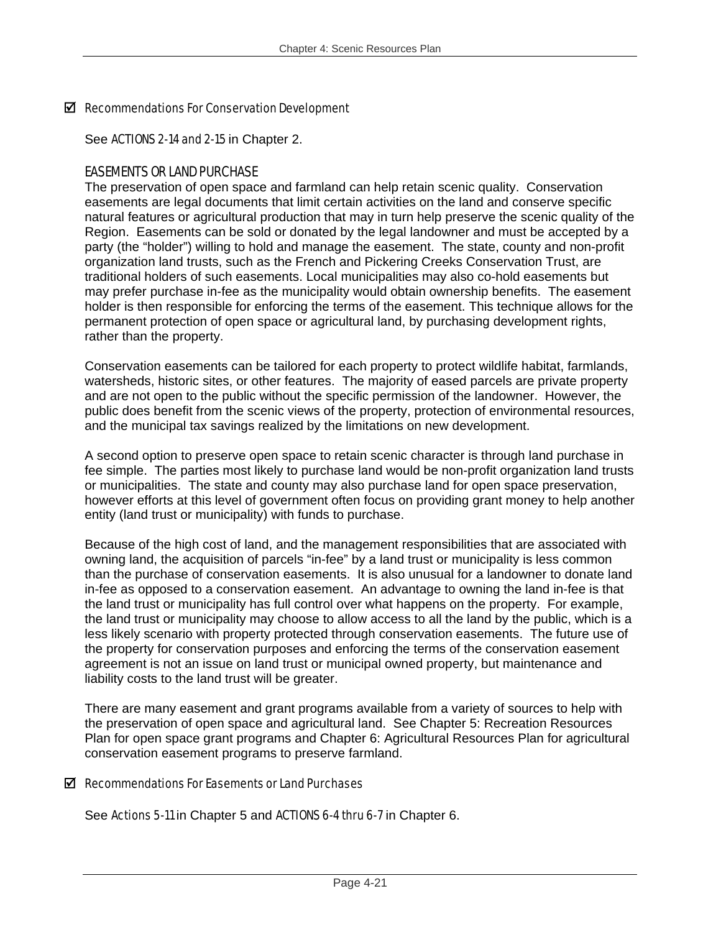### $\boxtimes$  Recommendations For Conservation Development

See ACTIONS 2-14 and 2-15 in Chapter 2.

### EASEMENTS OR LAND PURCHASE

The preservation of open space and farmland can help retain scenic quality. Conservation easements are legal documents that limit certain activities on the land and conserve specific natural features or agricultural production that may in turn help preserve the scenic quality of the Region. Easements can be sold or donated by the legal landowner and must be accepted by a party (the "holder") willing to hold and manage the easement. The state, county and non-profit organization land trusts, such as the French and Pickering Creeks Conservation Trust, are traditional holders of such easements. Local municipalities may also co-hold easements but may prefer purchase in-fee as the municipality would obtain ownership benefits. The easement holder is then responsible for enforcing the terms of the easement. This technique allows for the permanent protection of open space or agricultural land, by purchasing development rights, rather than the property.

Conservation easements can be tailored for each property to protect wildlife habitat, farmlands, watersheds, historic sites, or other features. The majority of eased parcels are private property and are not open to the public without the specific permission of the landowner. However, the public does benefit from the scenic views of the property, protection of environmental resources, and the municipal tax savings realized by the limitations on new development.

A second option to preserve open space to retain scenic character is through land purchase in fee simple. The parties most likely to purchase land would be non-profit organization land trusts or municipalities. The state and county may also purchase land for open space preservation, however efforts at this level of government often focus on providing grant money to help another entity (land trust or municipality) with funds to purchase.

Because of the high cost of land, and the management responsibilities that are associated with owning land, the acquisition of parcels "in-fee" by a land trust or municipality is less common than the purchase of conservation easements. It is also unusual for a landowner to donate land in-fee as opposed to a conservation easement. An advantage to owning the land in-fee is that the land trust or municipality has full control over what happens on the property. For example, the land trust or municipality may choose to allow access to all the land by the public, which is a less likely scenario with property protected through conservation easements. The future use of the property for conservation purposes and enforcing the terms of the conservation easement agreement is not an issue on land trust or municipal owned property, but maintenance and liability costs to the land trust will be greater.

There are many easement and grant programs available from a variety of sources to help with the preservation of open space and agricultural land. See Chapter 5: Recreation Resources Plan for open space grant programs and Chapter 6: Agricultural Resources Plan for agricultural conservation easement programs to preserve farmland.

### $\boxtimes$  Recommendations For Easements or Land Purchases

See Actions 5-11 in Chapter 5 and ACTIONS 6-4 thru 6-7 in Chapter 6.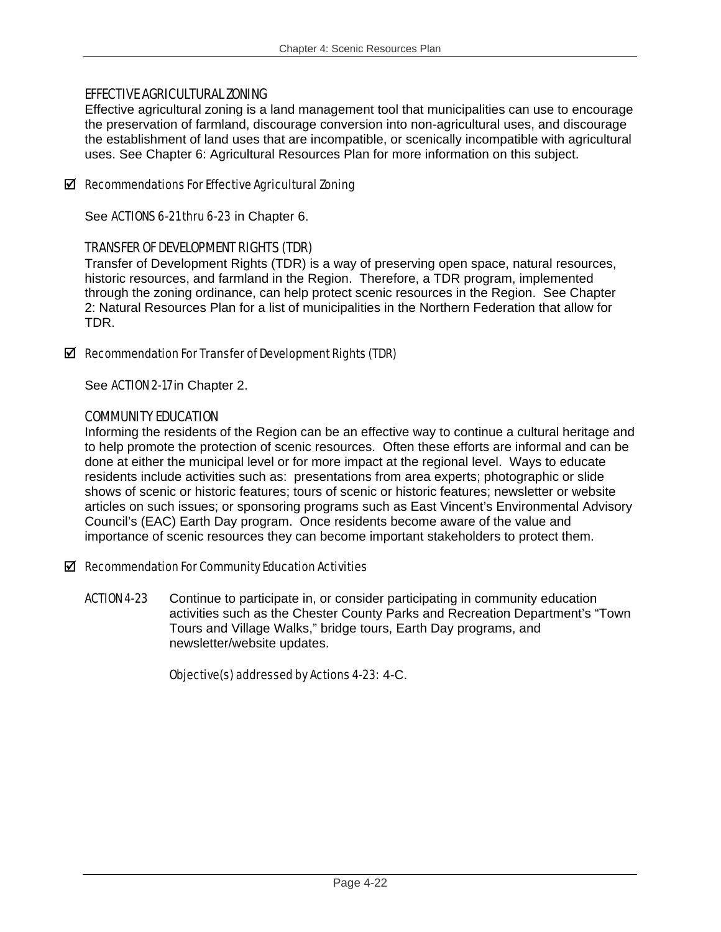# EFFECTIVE AGRICULTURAL ZONING

Effective agricultural zoning is a land management tool that municipalities can use to encourage the preservation of farmland, discourage conversion into non-agricultural uses, and discourage the establishment of land uses that are incompatible, or scenically incompatible with agricultural uses. See Chapter 6: Agricultural Resources Plan for more information on this subject.

# $\boxtimes$  Recommendations For Effective Agricultural Zoning

See **ACTIONS 6-21 thru 6-23** in Chapter 6.

# TRANSFER OF DEVELOPMENT RIGHTS (TDR)

Transfer of Development Rights (TDR) is a way of preserving open space, natural resources, historic resources, and farmland in the Region. Therefore, a TDR program, implemented through the zoning ordinance, can help protect scenic resources in the Region. See Chapter 2: Natural Resources Plan for a list of municipalities in the Northern Federation that allow for TDR.

### $\boxtimes$  Recommendation For Transfer of Development Rights (TDR)

See ACTION 2-17 in Chapter 2.

### COMMUNITY EDUCATION

Informing the residents of the Region can be an effective way to continue a cultural heritage and to help promote the protection of scenic resources. Often these efforts are informal and can be done at either the municipal level or for more impact at the regional level. Ways to educate residents include activities such as: presentations from area experts; photographic or slide shows of scenic or historic features; tours of scenic or historic features; newsletter or website articles on such issues; or sponsoring programs such as East Vincent's Environmental Advisory Council's (EAC) Earth Day program. Once residents become aware of the value and importance of scenic resources they can become important stakeholders to protect them.

### $\boxtimes$  Recommendation For Community Education Activities

ACTION 4-23 Continue to participate in, or consider participating in community education activities such as the Chester County Parks and Recreation Department's "Town Tours and Village Walks," bridge tours, Earth Day programs, and newsletter/website updates.

Objective(s) addressed by Actions 4-23: 4-C.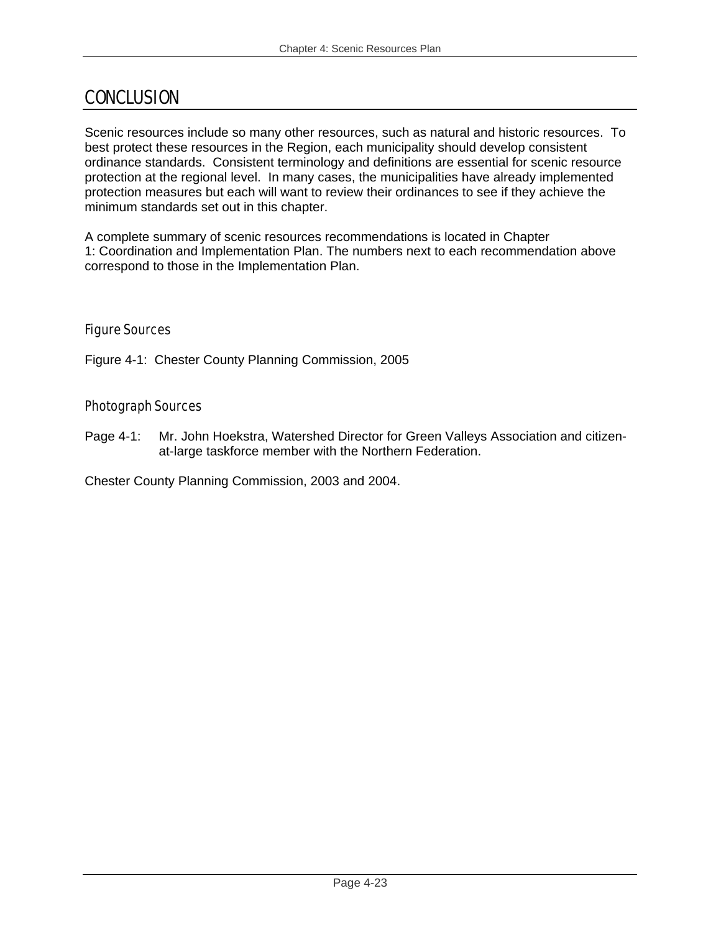# CONCLUSION

Scenic resources include so many other resources, such as natural and historic resources. To best protect these resources in the Region, each municipality should develop consistent ordinance standards. Consistent terminology and definitions are essential for scenic resource protection at the regional level. In many cases, the municipalities have already implemented protection measures but each will want to review their ordinances to see if they achieve the minimum standards set out in this chapter.

A complete summary of scenic resources recommendations is located in Chapter 1: Coordination and Implementation Plan. The numbers next to each recommendation above correspond to those in the Implementation Plan.

# Figure Sources

Figure 4-1: Chester County Planning Commission, 2005

# Photograph Sources

Page 4-1: Mr. John Hoekstra, Watershed Director for Green Valleys Association and citizenat-large taskforce member with the Northern Federation.

Chester County Planning Commission, 2003 and 2004.